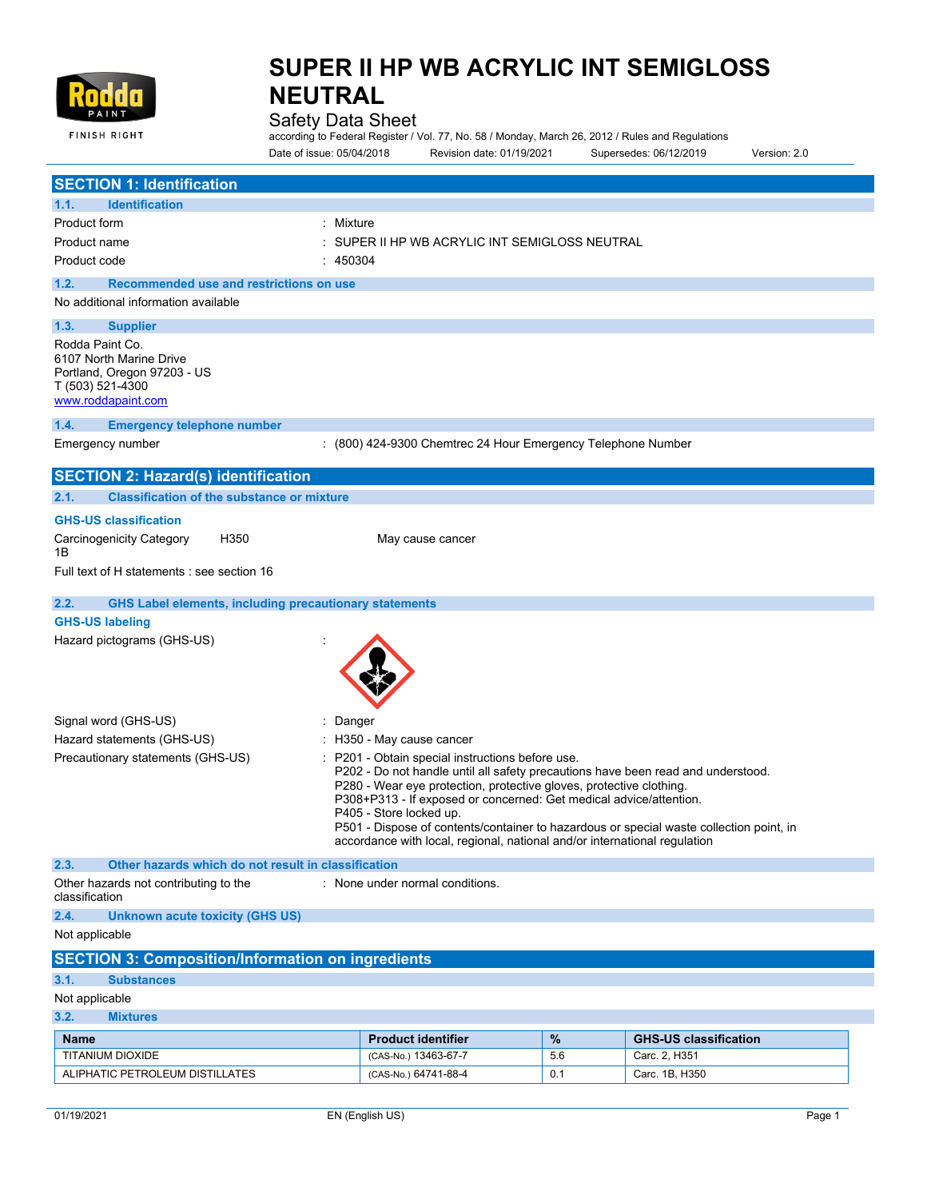

### Safety Data Sheet

according to Federal Register / Vol. 77, No. 58 / Monday, March 26, 2012 / Rules and Regulations Date of issue: 05/04/2018 Revision date: 01/19/2021 Supersedes: 06/12/2019 Version: 2.0

| <b>SECTION 1: Identification</b>                                                                                                                                                                                                                                                                                                                                                                                                                                                                                        |                                                              |     |                              |  |
|-------------------------------------------------------------------------------------------------------------------------------------------------------------------------------------------------------------------------------------------------------------------------------------------------------------------------------------------------------------------------------------------------------------------------------------------------------------------------------------------------------------------------|--------------------------------------------------------------|-----|------------------------------|--|
| <b>Identification</b><br>1.1.                                                                                                                                                                                                                                                                                                                                                                                                                                                                                           |                                                              |     |                              |  |
| Product form<br>: Mixture                                                                                                                                                                                                                                                                                                                                                                                                                                                                                               |                                                              |     |                              |  |
| Product name                                                                                                                                                                                                                                                                                                                                                                                                                                                                                                            | SUPER II HP WB ACRYLIC INT SEMIGLOSS NEUTRAL                 |     |                              |  |
| Product code<br>: 450304                                                                                                                                                                                                                                                                                                                                                                                                                                                                                                |                                                              |     |                              |  |
| 1.2.<br>Recommended use and restrictions on use                                                                                                                                                                                                                                                                                                                                                                                                                                                                         |                                                              |     |                              |  |
| No additional information available                                                                                                                                                                                                                                                                                                                                                                                                                                                                                     |                                                              |     |                              |  |
| 1.3.<br><b>Supplier</b>                                                                                                                                                                                                                                                                                                                                                                                                                                                                                                 |                                                              |     |                              |  |
| Rodda Paint Co.<br>6107 North Marine Drive<br>Portland, Oregon 97203 - US<br>T (503) 521-4300<br>www.roddapaint.com                                                                                                                                                                                                                                                                                                                                                                                                     |                                                              |     |                              |  |
| <b>Emergency telephone number</b><br>1.4.                                                                                                                                                                                                                                                                                                                                                                                                                                                                               |                                                              |     |                              |  |
| Emergency number                                                                                                                                                                                                                                                                                                                                                                                                                                                                                                        | : (800) 424-9300 Chemtrec 24 Hour Emergency Telephone Number |     |                              |  |
| <b>SECTION 2: Hazard(s) identification</b>                                                                                                                                                                                                                                                                                                                                                                                                                                                                              |                                                              |     |                              |  |
| <b>Classification of the substance or mixture</b><br>2.1.                                                                                                                                                                                                                                                                                                                                                                                                                                                               |                                                              |     |                              |  |
| <b>GHS-US classification</b>                                                                                                                                                                                                                                                                                                                                                                                                                                                                                            |                                                              |     |                              |  |
| <b>Carcinogenicity Category</b><br>H350<br>1B                                                                                                                                                                                                                                                                                                                                                                                                                                                                           | May cause cancer                                             |     |                              |  |
| Full text of H statements : see section 16                                                                                                                                                                                                                                                                                                                                                                                                                                                                              |                                                              |     |                              |  |
| <b>GHS Label elements, including precautionary statements</b><br>2.2.                                                                                                                                                                                                                                                                                                                                                                                                                                                   |                                                              |     |                              |  |
| <b>GHS-US labeling</b>                                                                                                                                                                                                                                                                                                                                                                                                                                                                                                  |                                                              |     |                              |  |
| Hazard pictograms (GHS-US)                                                                                                                                                                                                                                                                                                                                                                                                                                                                                              |                                                              |     |                              |  |
| Signal word (GHS-US)<br>: Danger                                                                                                                                                                                                                                                                                                                                                                                                                                                                                        |                                                              |     |                              |  |
| Hazard statements (GHS-US)                                                                                                                                                                                                                                                                                                                                                                                                                                                                                              | : H350 - May cause cancer                                    |     |                              |  |
| Precautionary statements (GHS-US)<br>P201 - Obtain special instructions before use.<br>P202 - Do not handle until all safety precautions have been read and understood.<br>P280 - Wear eye protection, protective gloves, protective clothing.<br>P308+P313 - If exposed or concerned: Get medical advice/attention.<br>P405 - Store locked up.<br>P501 - Dispose of contents/container to hazardous or special waste collection point, in<br>accordance with local, regional, national and/or international regulation |                                                              |     |                              |  |
| 2.3.<br>Other hazards which do not result in classification                                                                                                                                                                                                                                                                                                                                                                                                                                                             |                                                              |     |                              |  |
| Other hazards not contributing to the<br>classification                                                                                                                                                                                                                                                                                                                                                                                                                                                                 | : None under normal conditions.                              |     |                              |  |
| 2.4.<br><b>Unknown acute toxicity (GHS US)</b>                                                                                                                                                                                                                                                                                                                                                                                                                                                                          |                                                              |     |                              |  |
| Not applicable                                                                                                                                                                                                                                                                                                                                                                                                                                                                                                          |                                                              |     |                              |  |
| <b>SECTION 3: Composition/Information on ingredients</b>                                                                                                                                                                                                                                                                                                                                                                                                                                                                |                                                              |     |                              |  |
| 3.1.<br><b>Substances</b>                                                                                                                                                                                                                                                                                                                                                                                                                                                                                               |                                                              |     |                              |  |
| Not applicable                                                                                                                                                                                                                                                                                                                                                                                                                                                                                                          |                                                              |     |                              |  |
| 3.2.<br><b>Mixtures</b>                                                                                                                                                                                                                                                                                                                                                                                                                                                                                                 |                                                              |     |                              |  |
| <b>Name</b>                                                                                                                                                                                                                                                                                                                                                                                                                                                                                                             | <b>Product identifier</b>                                    | %   | <b>GHS-US classification</b> |  |
| TITANIUM DIOXIDE                                                                                                                                                                                                                                                                                                                                                                                                                                                                                                        | (CAS-No.) 13463-67-7                                         | 5.6 | Carc. 2, H351                |  |
| ALIPHATIC PETROLEUM DISTILLATES                                                                                                                                                                                                                                                                                                                                                                                                                                                                                         | (CAS-No.) 64741-88-4                                         | 0.1 | Carc. 1B, H350               |  |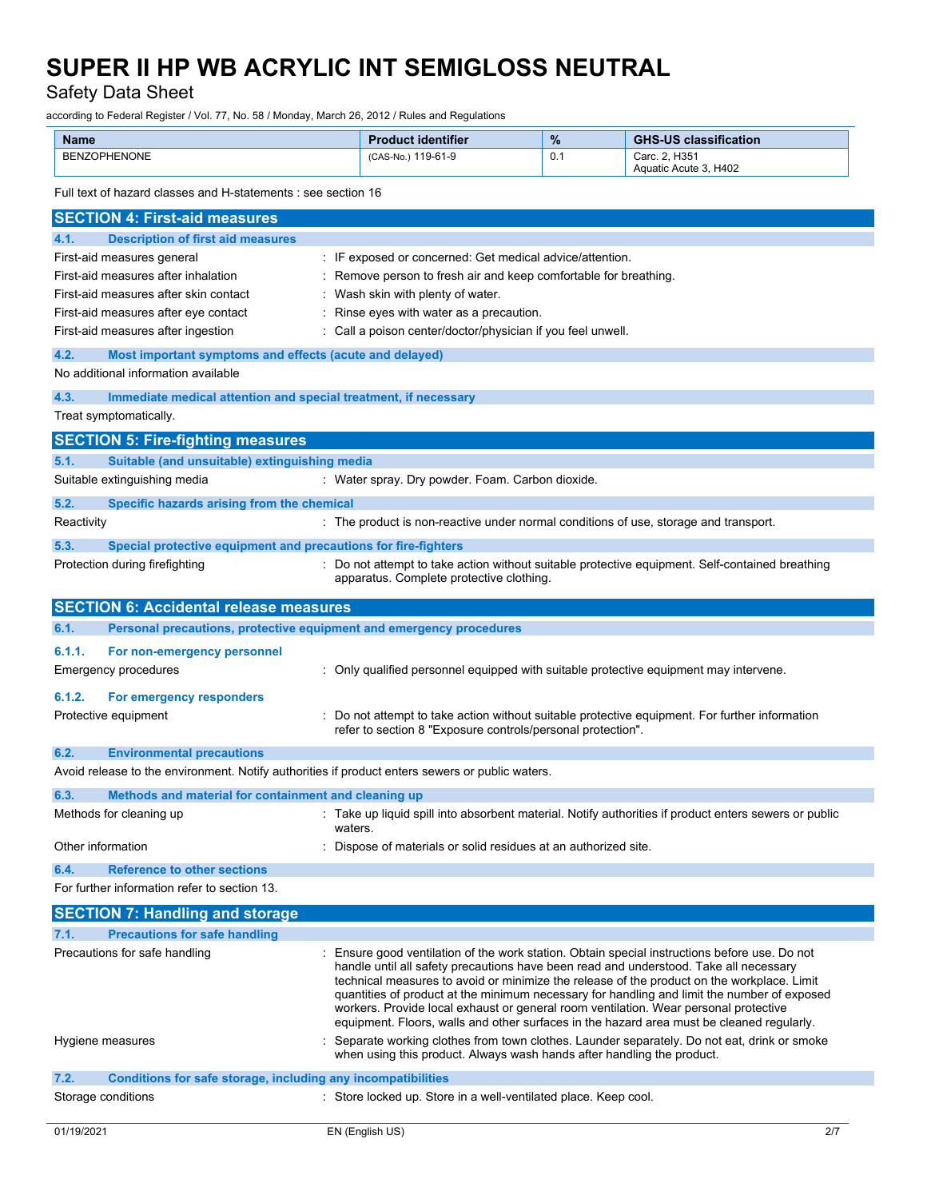Safety Data Sheet

according to Federal Register / Vol. 77, No. 58 / Monday, March 26, 2012 / Rules and Regulations

| <b>Name</b>         | <b>Product identifier</b> | $\%$ | <b>GHS-US classification</b>           |
|---------------------|---------------------------|------|----------------------------------------|
| <b>BENZOPHENONE</b> | 119-61-9<br>(CAS-No.)     | 0.1  | Carc. 2. H351<br>Aquatic Acute 3, H402 |

Full text of hazard classes and H-statements : see section 16

| <b>SECTION 4: First-aid measures</b>                                                            |                                                                                                                                                                                         |
|-------------------------------------------------------------------------------------------------|-----------------------------------------------------------------------------------------------------------------------------------------------------------------------------------------|
| 4.1.<br><b>Description of first aid measures</b>                                                |                                                                                                                                                                                         |
| First-aid measures general                                                                      | : IF exposed or concerned: Get medical advice/attention.                                                                                                                                |
| First-aid measures after inhalation                                                             | : Remove person to fresh air and keep comfortable for breathing.                                                                                                                        |
| First-aid measures after skin contact                                                           | : Wash skin with plenty of water.                                                                                                                                                       |
| First-aid measures after eye contact                                                            | Rinse eyes with water as a precaution.                                                                                                                                                  |
| First-aid measures after ingestion                                                              | : Call a poison center/doctor/physician if you feel unwell.                                                                                                                             |
| 4.2.<br>Most important symptoms and effects (acute and delayed)                                 |                                                                                                                                                                                         |
| No additional information available                                                             |                                                                                                                                                                                         |
| 4.3.<br>Immediate medical attention and special treatment, if necessary                         |                                                                                                                                                                                         |
| Treat symptomatically.                                                                          |                                                                                                                                                                                         |
| <b>SECTION 5: Fire-fighting measures</b>                                                        |                                                                                                                                                                                         |
| 5.1.<br>Suitable (and unsuitable) extinguishing media                                           |                                                                                                                                                                                         |
| Suitable extinguishing media                                                                    | : Water spray. Dry powder. Foam. Carbon dioxide.                                                                                                                                        |
| 5.2.<br>Specific hazards arising from the chemical                                              |                                                                                                                                                                                         |
| Reactivity                                                                                      | : The product is non-reactive under normal conditions of use, storage and transport.                                                                                                    |
| 5.3.<br>Special protective equipment and precautions for fire-fighters                          |                                                                                                                                                                                         |
| Protection during firefighting                                                                  | : Do not attempt to take action without suitable protective equipment. Self-contained breathing                                                                                         |
|                                                                                                 | apparatus. Complete protective clothing.                                                                                                                                                |
| <b>SECTION 6: Accidental release measures</b>                                                   |                                                                                                                                                                                         |
| 6.1.<br>Personal precautions, protective equipment and emergency procedures                     |                                                                                                                                                                                         |
| 6.1.1.<br>For non-emergency personnel                                                           |                                                                                                                                                                                         |
| Emergency procedures                                                                            | : Only qualified personnel equipped with suitable protective equipment may intervene.                                                                                                   |
|                                                                                                 |                                                                                                                                                                                         |
| 6.1.2.<br>For emergency responders                                                              |                                                                                                                                                                                         |
| Protective equipment                                                                            | : Do not attempt to take action without suitable protective equipment. For further information<br>refer to section 8 "Exposure controls/personal protection".                           |
| 6.2.<br><b>Environmental precautions</b>                                                        |                                                                                                                                                                                         |
| Avoid release to the environment. Notify authorities if product enters sewers or public waters. |                                                                                                                                                                                         |
| 6.3.<br>Methods and material for containment and cleaning up                                    |                                                                                                                                                                                         |
| Methods for cleaning up                                                                         | Take up liquid spill into absorbent material. Notify authorities if product enters sewers or public                                                                                     |
|                                                                                                 | waters.                                                                                                                                                                                 |
| Other information                                                                               | Dispose of materials or solid residues at an authorized site.                                                                                                                           |
| 6.4.<br><b>Reference to other sections</b>                                                      |                                                                                                                                                                                         |
| For further information refer to section 13.                                                    |                                                                                                                                                                                         |
| <b>SECTION 7: Handling and storage</b>                                                          |                                                                                                                                                                                         |
| 7.1.<br><b>Precautions for safe handling</b>                                                    |                                                                                                                                                                                         |
| Precautions for safe handling                                                                   | : Ensure good ventilation of the work station. Obtain special instructions before use. Do not                                                                                           |
|                                                                                                 | handle until all safety precautions have been read and understood. Take all necessary<br>technical measures to avoid or minimize the release of the product on the workplace. Limit     |
|                                                                                                 | quantities of product at the minimum necessary for handling and limit the number of exposed                                                                                             |
|                                                                                                 | workers. Provide local exhaust or general room ventilation. Wear personal protective                                                                                                    |
|                                                                                                 | equipment. Floors, walls and other surfaces in the hazard area must be cleaned regularly.<br>Separate working clothes from town clothes. Launder separately. Do not eat, drink or smoke |
| Hygiene measures                                                                                | when using this product. Always wash hands after handling the product.                                                                                                                  |
| 7.2.<br>Conditions for safe storage, including any incompatibilities                            |                                                                                                                                                                                         |
| Storage conditions                                                                              | : Store locked up. Store in a well-ventilated place. Keep cool.                                                                                                                         |
|                                                                                                 |                                                                                                                                                                                         |
| 01/19/2021                                                                                      | 2/7<br>EN (English US)                                                                                                                                                                  |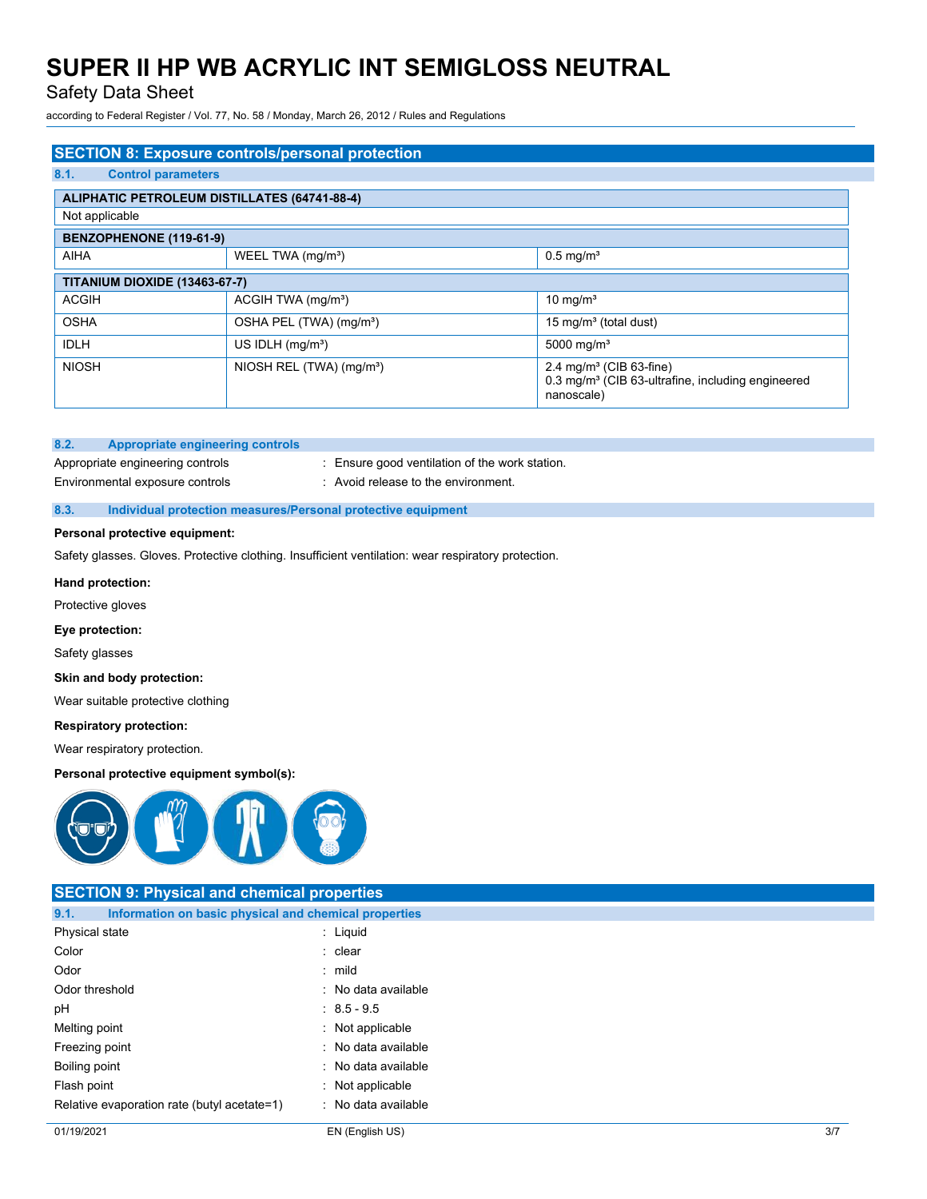### Safety Data Sheet

according to Federal Register / Vol. 77, No. 58 / Monday, March 26, 2012 / Rules and Regulations

| <b>SECTION 8: Exposure controls/personal protection</b> |                                      |                                                                                                                    |  |  |  |
|---------------------------------------------------------|--------------------------------------|--------------------------------------------------------------------------------------------------------------------|--|--|--|
| 8.1.<br><b>Control parameters</b>                       |                                      |                                                                                                                    |  |  |  |
| <b>ALIPHATIC PETROLEUM DISTILLATES (64741-88-4)</b>     |                                      |                                                                                                                    |  |  |  |
| Not applicable                                          |                                      |                                                                                                                    |  |  |  |
| BENZOPHENONE (119-61-9)                                 |                                      |                                                                                                                    |  |  |  |
| <b>AIHA</b>                                             | WEEL TWA (mg/m <sup>3</sup> )        | $0.5$ mg/m <sup>3</sup>                                                                                            |  |  |  |
| <b>TITANIUM DIOXIDE (13463-67-7)</b>                    |                                      |                                                                                                                    |  |  |  |
| <b>ACGIH</b>                                            | ACGIH TWA (mg/m <sup>3</sup> )       | 10 mg/m <sup>3</sup>                                                                                               |  |  |  |
| <b>OSHA</b>                                             | OSHA PEL (TWA) (mg/m <sup>3</sup> )  | 15 mg/m <sup>3</sup> (total dust)                                                                                  |  |  |  |
| <b>IDLH</b>                                             | US IDLH $(mq/m3)$                    | 5000 mg/m <sup>3</sup>                                                                                             |  |  |  |
| <b>NIOSH</b>                                            | NIOSH REL (TWA) (mg/m <sup>3</sup> ) | 2.4 mg/m <sup>3</sup> (CIB 63-fine)<br>0.3 mg/m <sup>3</sup> (CIB 63-ultrafine, including engineered<br>nanoscale) |  |  |  |

### **8.2. Appropriate engineering controls**

Environmental exposure controls : Avoid release to the environment.

Appropriate engineering controls : Ensure good ventilation of the work station.

### **8.3. Individual protection measures/Personal protective equipment**

### **Personal protective equipment:**

Safety glasses. Gloves. Protective clothing. Insufficient ventilation: wear respiratory protection.

#### **Hand protection:**

Protective gloves

### **Eye protection:**

Safety glasses

#### **Skin and body protection:**

Wear suitable protective clothing

#### **Respiratory protection:**

Wear respiratory protection.

### **Personal protective equipment symbol(s):**



### **SECTION 9: Physical and chemical properties 9.1. Information on basic physical and chemical properties** Physical state in the state of the state of the state in the state of the state of the state in the state of the state of the state of the state of the state of the state of the state of the state of the state of the state Color : clear : clear : clear Odor : mild

Odor threshold **in the contract of the contract of the contract of the contract of the contract of the contract of the contract of the contract of the contract of the contract of the contract of the contract of the contrac** pH : 8.5 - 9.5

- Melting point : Not applicable
- Freezing point **in the case of the Contract Contract Contract Contract Contract Contract Contract Contract Contract Contract Contract Contract Contract Contract Contract Contract Contract Contract Contract Contract Contrac**
- Boiling point **in the case of the case of the case of the case of the case of the case of the case of the case of the case of the case of the case of the case of the case of the case of the case of the case of the case of**
- Flash point : Not applicable
- Relative evaporation rate (butyl acetate=1) : No data available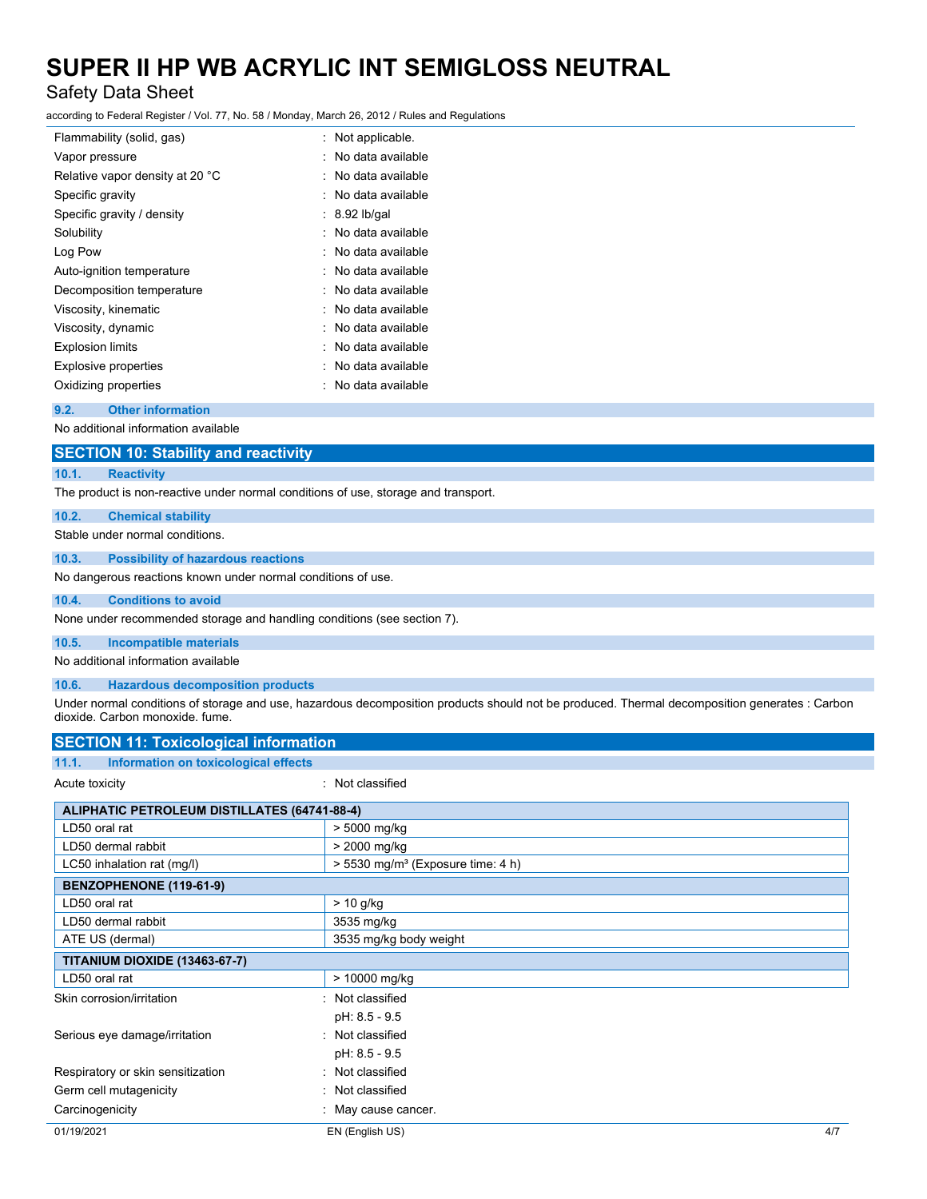### Safety Data Sheet

according to Federal Register / Vol. 77, No. 58 / Monday, March 26, 2012 / Rules and Regulations

|   | Not applicable.   |
|---|-------------------|
| ٠ | No data available |
|   | No data available |
|   | No data available |
|   | $: 8.92$ lb/gal   |
|   | No data available |
|   | No data available |
|   | No data available |
|   | No data available |
|   | No data available |
|   | No data available |
|   | No data available |
|   | No data available |
|   | No data available |
|   |                   |

### **9.2. Other information**

No additional information available

| <b>SECTION 10: Stability and reactivity</b> |  |
|---------------------------------------------|--|
|---------------------------------------------|--|

### **10.1. Reactivity**

The product is non-reactive under normal conditions of use, storage and transport.

### **10.2. Chemical stability**

Stable under normal conditions.

### **10.3. Possibility of hazardous reactions**

No dangerous reactions known under normal conditions of use.

### **10.4. Conditions to avoid**

None under recommended storage and handling conditions (see section 7).

### **10.5. Incompatible materials**

No additional information available

### **10.6. Hazardous decomposition products**

Under normal conditions of storage and use, hazardous decomposition products should not be produced. Thermal decomposition generates : Carbon dioxide. Carbon monoxide. fume.

| <b>SECTION 11: Toxicological information</b>        |                                               |
|-----------------------------------------------------|-----------------------------------------------|
| 11.1.<br>Information on toxicological effects       |                                               |
| Acute toxicity                                      | : Not classified                              |
| <b>ALIPHATIC PETROLEUM DISTILLATES (64741-88-4)</b> |                                               |
| LD50 oral rat                                       | > 5000 mg/kg                                  |
| LD50 dermal rabbit                                  | > 2000 mg/kg                                  |
| LC50 inhalation rat (mg/l)                          | > 5530 mg/m <sup>3</sup> (Exposure time: 4 h) |
| BENZOPHENONE (119-61-9)                             |                                               |
| LD50 oral rat                                       | $> 10$ g/kg                                   |
| LD50 dermal rabbit                                  | 3535 mg/kg                                    |
| ATE US (dermal)                                     | 3535 mg/kg body weight                        |
| <b>TITANIUM DIOXIDE (13463-67-7)</b>                |                                               |
| LD50 oral rat                                       | > 10000 mg/kg                                 |
| Skin corrosion/irritation                           | : Not classified                              |
|                                                     | pH: 8.5 - 9.5                                 |
| Serious eye damage/irritation                       | : Not classified                              |
|                                                     | pH: 8.5 - 9.5                                 |
| Respiratory or skin sensitization                   | : Not classified                              |
| Germ cell mutagenicity                              | : Not classified                              |
| Carcinogenicity                                     | : May cause cancer.                           |
| 01/19/2021                                          | EN (English US)<br>4/7                        |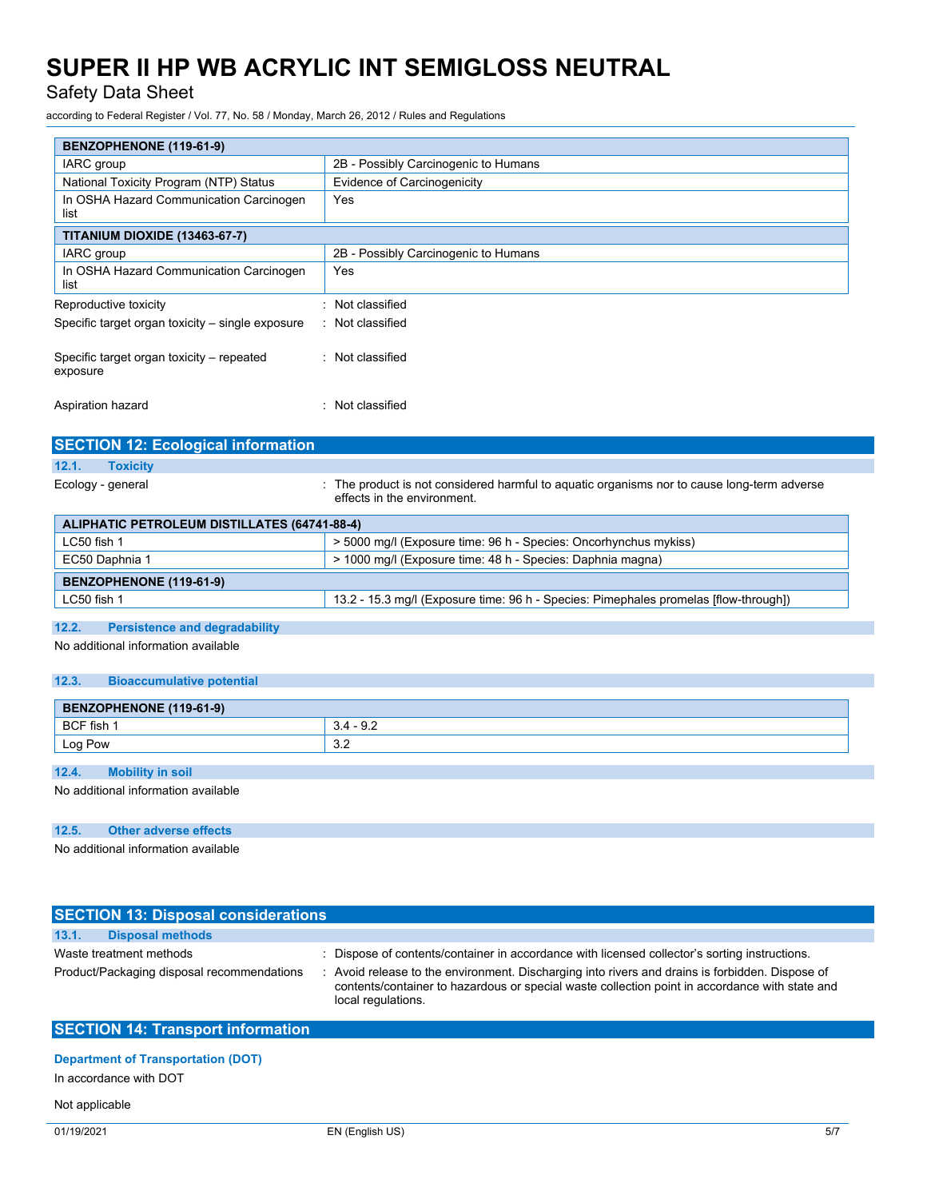Safety Data Sheet

according to Federal Register / Vol. 77, No. 58 / Monday, March 26, 2012 / Rules and Regulations

| BENZOPHENONE (119-61-9)                               |                                                                                                                            |
|-------------------------------------------------------|----------------------------------------------------------------------------------------------------------------------------|
| IARC group                                            | 2B - Possibly Carcinogenic to Humans                                                                                       |
| National Toxicity Program (NTP) Status                | Evidence of Carcinogenicity                                                                                                |
| In OSHA Hazard Communication Carcinogen<br>list       | Yes                                                                                                                        |
| <b>TITANIUM DIOXIDE (13463-67-7)</b>                  |                                                                                                                            |
| IARC group                                            | 2B - Possibly Carcinogenic to Humans                                                                                       |
| In OSHA Hazard Communication Carcinogen<br>list       | Yes                                                                                                                        |
| Reproductive toxicity                                 | : Not classified                                                                                                           |
| Specific target organ toxicity - single exposure      | : Not classified                                                                                                           |
| Specific target organ toxicity - repeated<br>exposure | : Not classified                                                                                                           |
| Aspiration hazard                                     | : Not classified                                                                                                           |
| <b>SECTION 12: Ecological information</b>             |                                                                                                                            |
| <b>Toxicity</b><br>12.1.                              |                                                                                                                            |
| Ecology - general                                     | : The product is not considered harmful to aquatic organisms nor to cause long-term adverse<br>effects in the environment. |
| <b>ALIPHATIC PETROLEUM DISTILLATES (64741-88-4)</b>   |                                                                                                                            |
| LC50 fish 1                                           | > 5000 mg/l (Exposure time: 96 h - Species: Oncorhynchus mykiss)                                                           |
| EC50 Daphnia 1                                        | > 1000 mg/l (Exposure time: 48 h - Species: Daphnia magna)                                                                 |
| BENZOPHENONE (119-61-9)                               |                                                                                                                            |
| LC50 fish 1                                           | 13.2 - 15.3 mg/l (Exposure time: 96 h - Species: Pimephales promelas [flow-through])                                       |
| 12.2.<br><b>Persistence and degradability</b>         |                                                                                                                            |
| No additional information available                   |                                                                                                                            |
| 12.3.<br><b>Bioaccumulative potential</b>             |                                                                                                                            |
| BENZOPHENONE (119-61-9)                               |                                                                                                                            |
|                                                       |                                                                                                                            |
| BCF fish 1                                            | $3.4 - 9.2$                                                                                                                |
| Log Pow                                               | 3.2                                                                                                                        |
| <b>Mobility in soil</b><br>12.4.                      |                                                                                                                            |
| No additional information available                   |                                                                                                                            |

No additional information available

| <b>SECTION 13: Disposal considerations</b> |                                                                                                                                                                                                                         |
|--------------------------------------------|-------------------------------------------------------------------------------------------------------------------------------------------------------------------------------------------------------------------------|
| 13.1.<br><b>Disposal methods</b>           |                                                                                                                                                                                                                         |
| Waste treatment methods                    | : Dispose of contents/container in accordance with licensed collector's sorting instructions.                                                                                                                           |
| Product/Packaging disposal recommendations | : Avoid release to the environment. Discharging into rivers and drains is forbidden. Dispose of<br>contents/container to hazardous or special waste collection point in accordance with state and<br>local regulations. |
| <b>SECTION 14: Transport information</b>   |                                                                                                                                                                                                                         |
|                                            |                                                                                                                                                                                                                         |

### **Department of Transportation (DOT)**

In accordance with DOT

Not applicable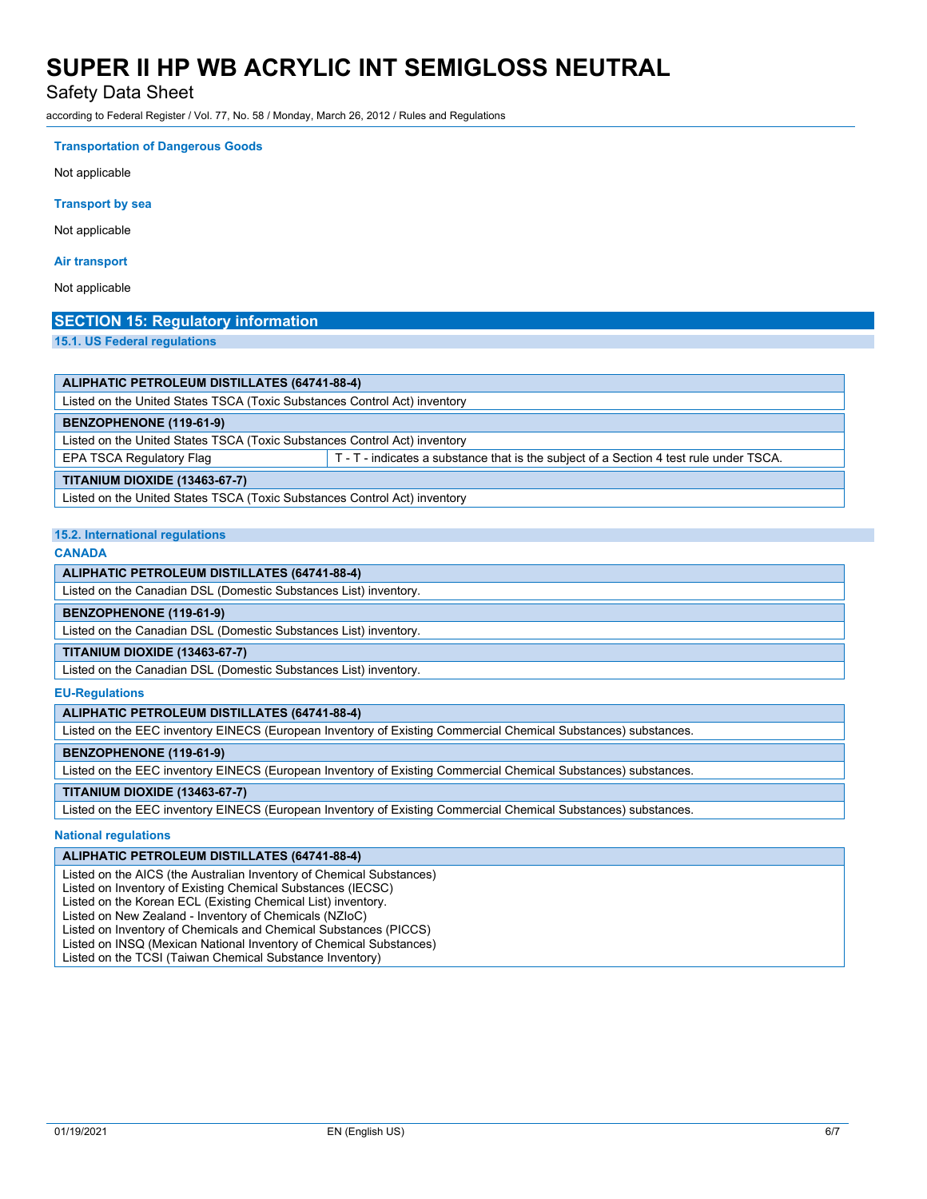Safety Data Sheet

according to Federal Register / Vol. 77, No. 58 / Monday, March 26, 2012 / Rules and Regulations

**Transportation of Dangerous Goods** Not applicable **Transport by sea** Not applicable

### **Air transport**

Not applicable

### **SECTION 15: Regulatory information**

**15.1. US Federal regulations**

| ALIPHATIC PETROLEUM DISTILLATES (64741-88-4)                                                                       |  |  |  |
|--------------------------------------------------------------------------------------------------------------------|--|--|--|
| Listed on the United States TSCA (Toxic Substances Control Act) inventory                                          |  |  |  |
| BENZOPHENONE (119-61-9)                                                                                            |  |  |  |
| Listed on the United States TSCA (Toxic Substances Control Act) inventory                                          |  |  |  |
| EPA TSCA Regulatory Flag<br>T - T - indicates a substance that is the subject of a Section 4 test rule under TSCA. |  |  |  |
| <b>TITANIUM DIOXIDE (13463-67-7)</b>                                                                               |  |  |  |
| Listed on the United States TSCA (Toxic Substances Control Act) inventory                                          |  |  |  |

### **15.2. International regulations**

### **CANADA**

**ALIPHATIC PETROLEUM DISTILLATES (64741-88-4)**

Listed on the Canadian DSL (Domestic Substances List) inventory.

### **BENZOPHENONE (119-61-9)**

Listed on the Canadian DSL (Domestic Substances List) inventory.

### **TITANIUM DIOXIDE (13463-67-7)**

Listed on the Canadian DSL (Domestic Substances List) inventory.

#### **EU-Regulations**

### **ALIPHATIC PETROLEUM DISTILLATES (64741-88-4)**

Listed on the EEC inventory EINECS (European Inventory of Existing Commercial Chemical Substances) substances.

#### **BENZOPHENONE (119-61-9)**

Listed on the EEC inventory EINECS (European Inventory of Existing Commercial Chemical Substances) substances.

### **TITANIUM DIOXIDE (13463-67-7)**

Listed on the EEC inventory EINECS (European Inventory of Existing Commercial Chemical Substances) substances.

### **National regulations**

#### **ALIPHATIC PETROLEUM DISTILLATES (64741-88-4)**

Listed on the AICS (the Australian Inventory of Chemical Substances)

Listed on Inventory of Existing Chemical Substances (IECSC)

Listed on the Korean ECL (Existing Chemical List) inventory.

Listed on New Zealand - Inventory of Chemicals (NZIoC)

Listed on Inventory of Chemicals and Chemical Substances (PICCS)

Listed on INSQ (Mexican National Inventory of Chemical Substances)

Listed on the TCSI (Taiwan Chemical Substance Inventory)